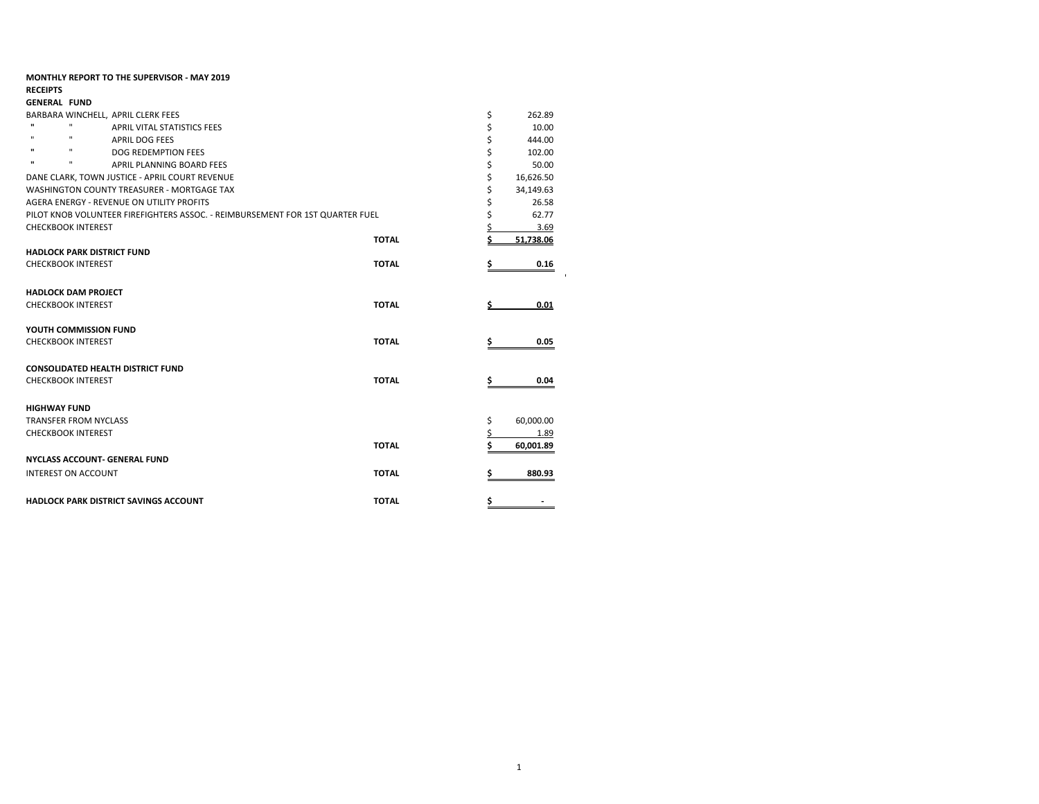| <b>MONTHLY REPORT TO THE SUPERVISOR - MAY 2019</b><br><b>RECEIPTS</b>         |              |    |           |
|-------------------------------------------------------------------------------|--------------|----|-----------|
| <b>GENERAL FUND</b>                                                           |              |    |           |
| BARBARA WINCHELL, APRIL CLERK FEES                                            |              | \$ | 262.89    |
| п.<br>APRIL VITAL STATISTICS FEES                                             |              | \$ | 10.00     |
| $\mathbf{u}$<br>$\mathbf{u}$<br><b>APRIL DOG FEES</b>                         |              | \$ | 444.00    |
| $\mathbf{u}$<br>п<br><b>DOG REDEMPTION FEES</b>                               |              | \$ | 102.00    |
| $\mathbf{u}$<br>APRIL PLANNING BOARD FEES                                     |              | \$ | 50.00     |
| DANE CLARK, TOWN JUSTICE - APRIL COURT REVENUE                                |              | \$ | 16,626.50 |
| WASHINGTON COUNTY TREASURER - MORTGAGE TAX                                    |              | \$ | 34,149.63 |
| AGERA ENERGY - REVENUE ON UTILITY PROFITS                                     |              | \$ | 26.58     |
| PILOT KNOB VOLUNTEER FIREFIGHTERS ASSOC. - REIMBURSEMENT FOR 1ST QUARTER FUEL |              | \$ | 62.77     |
| <b>CHECKBOOK INTEREST</b>                                                     |              | \$ | 3.69      |
|                                                                               | <b>TOTAL</b> | Ś  | 51,738.06 |
| <b>HADLOCK PARK DISTRICT FUND</b>                                             |              |    |           |
| <b>CHECKBOOK INTEREST</b>                                                     | <b>TOTAL</b> | S  | 0.16      |
|                                                                               |              |    |           |
| <b>HADLOCK DAM PROJECT</b>                                                    |              |    |           |
| <b>CHECKBOOK INTEREST</b>                                                     | <b>TOTAL</b> |    | 0.01      |
|                                                                               |              |    |           |
| YOUTH COMMISSION FUND                                                         |              |    |           |
| <b>CHECKBOOK INTEREST</b>                                                     | <b>TOTAL</b> | S  | 0.05      |
|                                                                               |              |    |           |
| <b>CONSOLIDATED HEALTH DISTRICT FUND</b>                                      |              |    |           |
| <b>CHECKBOOK INTEREST</b>                                                     | <b>TOTAL</b> | \$ | 0.04      |
|                                                                               |              |    |           |
| <b>HIGHWAY FUND</b>                                                           |              |    |           |
| <b>TRANSFER FROM NYCLASS</b>                                                  |              | \$ | 60,000.00 |
| <b>CHECKBOOK INTEREST</b>                                                     |              | \$ | 1.89      |
|                                                                               | <b>TOTAL</b> | Ś  | 60,001.89 |
| <b>NYCLASS ACCOUNT- GENERAL FUND</b>                                          |              |    |           |
| <b>INTEREST ON ACCOUNT</b>                                                    | <b>TOTAL</b> | Ś  | 880.93    |
|                                                                               |              |    |           |
|                                                                               |              |    |           |
| <b>HADLOCK PARK DISTRICT SAVINGS ACCOUNT</b>                                  | <b>TOTAL</b> | \$ |           |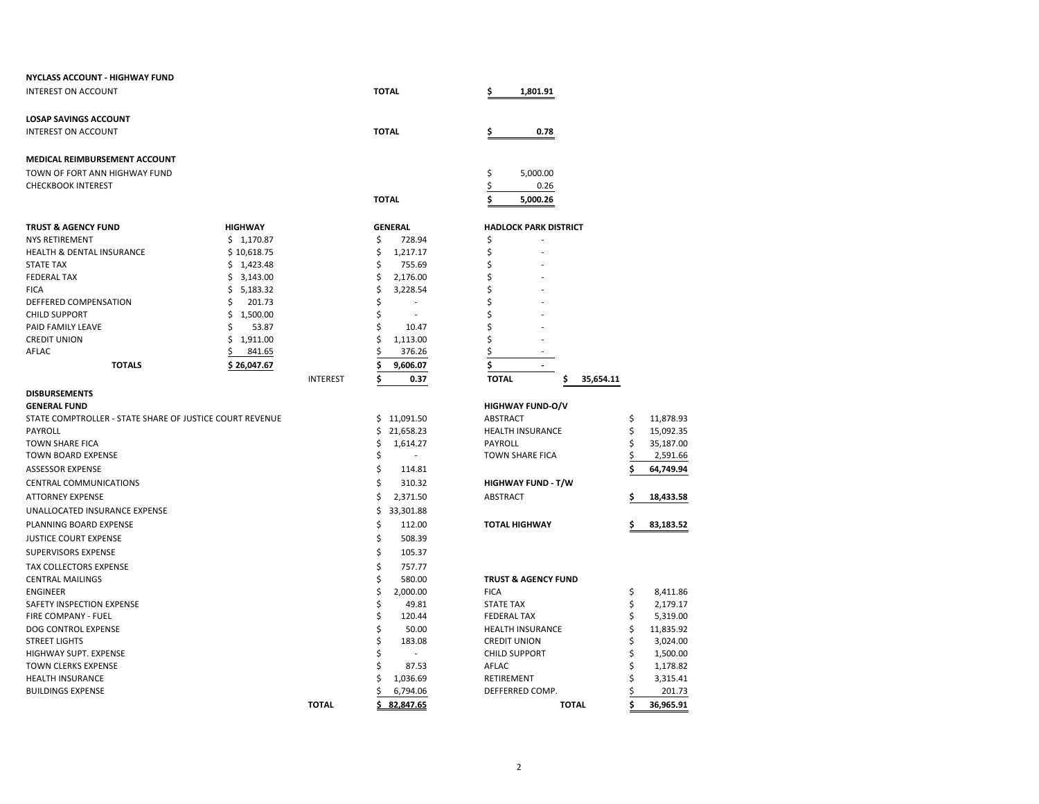| <b>INTEREST ON ACCOUNT</b><br><b>TOTAL</b><br>1,801.91<br><b>LOSAP SAVINGS ACCOUNT</b><br><b>TOTAL</b><br><b>INTEREST ON ACCOUNT</b><br>0.78<br>Ş<br>MEDICAL REIMBURSEMENT ACCOUNT<br>TOWN OF FORT ANN HIGHWAY FUND<br>5,000.00<br>\$<br>\$<br><b>CHECKBOOK INTEREST</b><br>0.26<br><b>TOTAL</b><br>5,000.26<br>\$<br><b>HIGHWAY</b><br><b>GENERAL</b><br><b>HADLOCK PARK DISTRICT</b><br><b>TRUST &amp; AGENCY FUND</b><br>NYS RETIREMENT<br>\$1,170.87<br>\$<br>728.94<br>\$<br>\$<br><b>HEALTH &amp; DENTAL INSURANCE</b><br>\$10,618.75<br>\$<br>1,217.17<br>\$<br>\$<br><b>STATE TAX</b><br>\$1,423.48<br>755.69<br>\$<br>\$<br><b>FEDERAL TAX</b><br>\$3,143.00<br>2,176.00<br>\$<br>\$<br><b>FICA</b><br>\$.<br>5,183.32<br>3,228.54<br>DEFFERED COMPENSATION<br>201.73<br>\$<br>\$<br>\$<br><b>CHILD SUPPORT</b><br>1,500.00<br>\$<br>\$<br>\$.<br>Ś<br>PAID FAMILY LEAVE<br>53.87<br>10.47<br>Ś<br>ς<br><b>CREDIT UNION</b><br>1,911.00<br>Ś<br>Ś<br>Ś.<br>1,113.00<br><b>AFLAC</b><br>841.65<br>376.26<br>\$<br><b>TOTALS</b><br>\$26,047.67<br>9,606.07<br>\$<br>$\overline{a}$<br><b>TOTAL</b><br><b>INTEREST</b><br>Ś<br>0.37<br>35,654.11<br>S<br><b>DISBURSEMENTS</b><br><b>GENERAL FUND</b><br><b>HIGHWAY FUND-O/V</b><br>\$<br>STATE COMPTROLLER - STATE SHARE OF JUSTICE COURT REVENUE<br>\$11,091.50<br>ABSTRACT<br>11,878.93<br>\$<br>\$<br>PAYROLL<br>21,658.23<br><b>HEALTH INSURANCE</b><br>15,092.35<br>\$<br>PAYROLL<br><b>TOWN SHARE FICA</b><br>1,614.27<br>\$<br>35,187.00<br><b>TOWN BOARD EXPENSE</b><br>\$<br>TOWN SHARE FICA<br>2,591.66<br>\$<br><b>ASSESSOR EXPENSE</b><br>114.81<br>Ś<br>64,749.94<br>Ś<br><b>CENTRAL COMMUNICATIONS</b><br>310.32<br><b>HIGHWAY FUND - T/W</b><br>\$<br><b>ATTORNEY EXPENSE</b><br>2,371.50<br>ABSTRACT<br>Ś<br>18,433.58<br>Ś<br>UNALLOCATED INSURANCE EXPENSE<br>33,301.88<br>\$<br>PLANNING BOARD EXPENSE<br>112.00<br>Ś<br>83,183.52<br><b>TOTAL HIGHWAY</b><br>\$<br><b>JUSTICE COURT EXPENSE</b><br>508.39<br>\$<br>SUPERVISORS EXPENSE<br>105.37<br>\$<br>TAX COLLECTORS EXPENSE<br>757.77<br>Ś<br>580.00<br><b>CENTRAL MAILINGS</b><br><b>TRUST &amp; AGENCY FUND</b><br>\$<br>\$<br><b>ENGINEER</b><br>2,000.00<br><b>FICA</b><br>8,411.86<br>\$<br>\$<br>SAFETY INSPECTION EXPENSE<br>49.81<br><b>STATE TAX</b><br>2,179.17<br>Ś<br>FIRE COMPANY - FUEL<br>Ś<br>5,319.00<br>120.44<br><b>FEDERAL TAX</b><br>DOG CONTROL EXPENSE<br>\$<br>50.00<br>HEALTH INSURANCE<br>\$<br>11,835.92<br>Ś<br>\$<br><b>STREET LIGHTS</b><br>183.08<br><b>CREDIT UNION</b><br>3,024.00<br>Ś<br>HIGHWAY SUPT. EXPENSE<br>\$<br><b>CHILD SUPPORT</b><br>1,500.00<br>\$<br>TOWN CLERKS EXPENSE<br>Ś<br>87.53<br>AFLAC<br>1,178.82<br>Ś<br><b>HEALTH INSURANCE</b><br>1,036.69<br>RETIREMENT<br>3,315.41<br><b>BUILDINGS EXPENSE</b><br>6,794.06<br>DEFFERRED COMP.<br>\$<br>201.73<br>Ś<br><b>TOTAL</b><br>82.847.65<br><b>TOTAL</b><br>36,965.91 | <b>NYCLASS ACCOUNT - HIGHWAY FUND</b> |  |  |  |
|-------------------------------------------------------------------------------------------------------------------------------------------------------------------------------------------------------------------------------------------------------------------------------------------------------------------------------------------------------------------------------------------------------------------------------------------------------------------------------------------------------------------------------------------------------------------------------------------------------------------------------------------------------------------------------------------------------------------------------------------------------------------------------------------------------------------------------------------------------------------------------------------------------------------------------------------------------------------------------------------------------------------------------------------------------------------------------------------------------------------------------------------------------------------------------------------------------------------------------------------------------------------------------------------------------------------------------------------------------------------------------------------------------------------------------------------------------------------------------------------------------------------------------------------------------------------------------------------------------------------------------------------------------------------------------------------------------------------------------------------------------------------------------------------------------------------------------------------------------------------------------------------------------------------------------------------------------------------------------------------------------------------------------------------------------------------------------------------------------------------------------------------------------------------------------------------------------------------------------------------------------------------------------------------------------------------------------------------------------------------------------------------------------------------------------------------------------------------------------------------------------------------------------------------------------------------------------------------------------------------------------------------------------------------------------------------------------------------------------------------------------------------------------------------------------------------------------------------------------------------------------------------------------------|---------------------------------------|--|--|--|
|                                                                                                                                                                                                                                                                                                                                                                                                                                                                                                                                                                                                                                                                                                                                                                                                                                                                                                                                                                                                                                                                                                                                                                                                                                                                                                                                                                                                                                                                                                                                                                                                                                                                                                                                                                                                                                                                                                                                                                                                                                                                                                                                                                                                                                                                                                                                                                                                                                                                                                                                                                                                                                                                                                                                                                                                                                                                                                             |                                       |  |  |  |
|                                                                                                                                                                                                                                                                                                                                                                                                                                                                                                                                                                                                                                                                                                                                                                                                                                                                                                                                                                                                                                                                                                                                                                                                                                                                                                                                                                                                                                                                                                                                                                                                                                                                                                                                                                                                                                                                                                                                                                                                                                                                                                                                                                                                                                                                                                                                                                                                                                                                                                                                                                                                                                                                                                                                                                                                                                                                                                             |                                       |  |  |  |
|                                                                                                                                                                                                                                                                                                                                                                                                                                                                                                                                                                                                                                                                                                                                                                                                                                                                                                                                                                                                                                                                                                                                                                                                                                                                                                                                                                                                                                                                                                                                                                                                                                                                                                                                                                                                                                                                                                                                                                                                                                                                                                                                                                                                                                                                                                                                                                                                                                                                                                                                                                                                                                                                                                                                                                                                                                                                                                             |                                       |  |  |  |
|                                                                                                                                                                                                                                                                                                                                                                                                                                                                                                                                                                                                                                                                                                                                                                                                                                                                                                                                                                                                                                                                                                                                                                                                                                                                                                                                                                                                                                                                                                                                                                                                                                                                                                                                                                                                                                                                                                                                                                                                                                                                                                                                                                                                                                                                                                                                                                                                                                                                                                                                                                                                                                                                                                                                                                                                                                                                                                             |                                       |  |  |  |
|                                                                                                                                                                                                                                                                                                                                                                                                                                                                                                                                                                                                                                                                                                                                                                                                                                                                                                                                                                                                                                                                                                                                                                                                                                                                                                                                                                                                                                                                                                                                                                                                                                                                                                                                                                                                                                                                                                                                                                                                                                                                                                                                                                                                                                                                                                                                                                                                                                                                                                                                                                                                                                                                                                                                                                                                                                                                                                             |                                       |  |  |  |
|                                                                                                                                                                                                                                                                                                                                                                                                                                                                                                                                                                                                                                                                                                                                                                                                                                                                                                                                                                                                                                                                                                                                                                                                                                                                                                                                                                                                                                                                                                                                                                                                                                                                                                                                                                                                                                                                                                                                                                                                                                                                                                                                                                                                                                                                                                                                                                                                                                                                                                                                                                                                                                                                                                                                                                                                                                                                                                             |                                       |  |  |  |
|                                                                                                                                                                                                                                                                                                                                                                                                                                                                                                                                                                                                                                                                                                                                                                                                                                                                                                                                                                                                                                                                                                                                                                                                                                                                                                                                                                                                                                                                                                                                                                                                                                                                                                                                                                                                                                                                                                                                                                                                                                                                                                                                                                                                                                                                                                                                                                                                                                                                                                                                                                                                                                                                                                                                                                                                                                                                                                             |                                       |  |  |  |
|                                                                                                                                                                                                                                                                                                                                                                                                                                                                                                                                                                                                                                                                                                                                                                                                                                                                                                                                                                                                                                                                                                                                                                                                                                                                                                                                                                                                                                                                                                                                                                                                                                                                                                                                                                                                                                                                                                                                                                                                                                                                                                                                                                                                                                                                                                                                                                                                                                                                                                                                                                                                                                                                                                                                                                                                                                                                                                             |                                       |  |  |  |
|                                                                                                                                                                                                                                                                                                                                                                                                                                                                                                                                                                                                                                                                                                                                                                                                                                                                                                                                                                                                                                                                                                                                                                                                                                                                                                                                                                                                                                                                                                                                                                                                                                                                                                                                                                                                                                                                                                                                                                                                                                                                                                                                                                                                                                                                                                                                                                                                                                                                                                                                                                                                                                                                                                                                                                                                                                                                                                             |                                       |  |  |  |
|                                                                                                                                                                                                                                                                                                                                                                                                                                                                                                                                                                                                                                                                                                                                                                                                                                                                                                                                                                                                                                                                                                                                                                                                                                                                                                                                                                                                                                                                                                                                                                                                                                                                                                                                                                                                                                                                                                                                                                                                                                                                                                                                                                                                                                                                                                                                                                                                                                                                                                                                                                                                                                                                                                                                                                                                                                                                                                             |                                       |  |  |  |
|                                                                                                                                                                                                                                                                                                                                                                                                                                                                                                                                                                                                                                                                                                                                                                                                                                                                                                                                                                                                                                                                                                                                                                                                                                                                                                                                                                                                                                                                                                                                                                                                                                                                                                                                                                                                                                                                                                                                                                                                                                                                                                                                                                                                                                                                                                                                                                                                                                                                                                                                                                                                                                                                                                                                                                                                                                                                                                             |                                       |  |  |  |
|                                                                                                                                                                                                                                                                                                                                                                                                                                                                                                                                                                                                                                                                                                                                                                                                                                                                                                                                                                                                                                                                                                                                                                                                                                                                                                                                                                                                                                                                                                                                                                                                                                                                                                                                                                                                                                                                                                                                                                                                                                                                                                                                                                                                                                                                                                                                                                                                                                                                                                                                                                                                                                                                                                                                                                                                                                                                                                             |                                       |  |  |  |
|                                                                                                                                                                                                                                                                                                                                                                                                                                                                                                                                                                                                                                                                                                                                                                                                                                                                                                                                                                                                                                                                                                                                                                                                                                                                                                                                                                                                                                                                                                                                                                                                                                                                                                                                                                                                                                                                                                                                                                                                                                                                                                                                                                                                                                                                                                                                                                                                                                                                                                                                                                                                                                                                                                                                                                                                                                                                                                             |                                       |  |  |  |
|                                                                                                                                                                                                                                                                                                                                                                                                                                                                                                                                                                                                                                                                                                                                                                                                                                                                                                                                                                                                                                                                                                                                                                                                                                                                                                                                                                                                                                                                                                                                                                                                                                                                                                                                                                                                                                                                                                                                                                                                                                                                                                                                                                                                                                                                                                                                                                                                                                                                                                                                                                                                                                                                                                                                                                                                                                                                                                             |                                       |  |  |  |
|                                                                                                                                                                                                                                                                                                                                                                                                                                                                                                                                                                                                                                                                                                                                                                                                                                                                                                                                                                                                                                                                                                                                                                                                                                                                                                                                                                                                                                                                                                                                                                                                                                                                                                                                                                                                                                                                                                                                                                                                                                                                                                                                                                                                                                                                                                                                                                                                                                                                                                                                                                                                                                                                                                                                                                                                                                                                                                             |                                       |  |  |  |
|                                                                                                                                                                                                                                                                                                                                                                                                                                                                                                                                                                                                                                                                                                                                                                                                                                                                                                                                                                                                                                                                                                                                                                                                                                                                                                                                                                                                                                                                                                                                                                                                                                                                                                                                                                                                                                                                                                                                                                                                                                                                                                                                                                                                                                                                                                                                                                                                                                                                                                                                                                                                                                                                                                                                                                                                                                                                                                             |                                       |  |  |  |
|                                                                                                                                                                                                                                                                                                                                                                                                                                                                                                                                                                                                                                                                                                                                                                                                                                                                                                                                                                                                                                                                                                                                                                                                                                                                                                                                                                                                                                                                                                                                                                                                                                                                                                                                                                                                                                                                                                                                                                                                                                                                                                                                                                                                                                                                                                                                                                                                                                                                                                                                                                                                                                                                                                                                                                                                                                                                                                             |                                       |  |  |  |
|                                                                                                                                                                                                                                                                                                                                                                                                                                                                                                                                                                                                                                                                                                                                                                                                                                                                                                                                                                                                                                                                                                                                                                                                                                                                                                                                                                                                                                                                                                                                                                                                                                                                                                                                                                                                                                                                                                                                                                                                                                                                                                                                                                                                                                                                                                                                                                                                                                                                                                                                                                                                                                                                                                                                                                                                                                                                                                             |                                       |  |  |  |
|                                                                                                                                                                                                                                                                                                                                                                                                                                                                                                                                                                                                                                                                                                                                                                                                                                                                                                                                                                                                                                                                                                                                                                                                                                                                                                                                                                                                                                                                                                                                                                                                                                                                                                                                                                                                                                                                                                                                                                                                                                                                                                                                                                                                                                                                                                                                                                                                                                                                                                                                                                                                                                                                                                                                                                                                                                                                                                             |                                       |  |  |  |
|                                                                                                                                                                                                                                                                                                                                                                                                                                                                                                                                                                                                                                                                                                                                                                                                                                                                                                                                                                                                                                                                                                                                                                                                                                                                                                                                                                                                                                                                                                                                                                                                                                                                                                                                                                                                                                                                                                                                                                                                                                                                                                                                                                                                                                                                                                                                                                                                                                                                                                                                                                                                                                                                                                                                                                                                                                                                                                             |                                       |  |  |  |
|                                                                                                                                                                                                                                                                                                                                                                                                                                                                                                                                                                                                                                                                                                                                                                                                                                                                                                                                                                                                                                                                                                                                                                                                                                                                                                                                                                                                                                                                                                                                                                                                                                                                                                                                                                                                                                                                                                                                                                                                                                                                                                                                                                                                                                                                                                                                                                                                                                                                                                                                                                                                                                                                                                                                                                                                                                                                                                             |                                       |  |  |  |
|                                                                                                                                                                                                                                                                                                                                                                                                                                                                                                                                                                                                                                                                                                                                                                                                                                                                                                                                                                                                                                                                                                                                                                                                                                                                                                                                                                                                                                                                                                                                                                                                                                                                                                                                                                                                                                                                                                                                                                                                                                                                                                                                                                                                                                                                                                                                                                                                                                                                                                                                                                                                                                                                                                                                                                                                                                                                                                             |                                       |  |  |  |
|                                                                                                                                                                                                                                                                                                                                                                                                                                                                                                                                                                                                                                                                                                                                                                                                                                                                                                                                                                                                                                                                                                                                                                                                                                                                                                                                                                                                                                                                                                                                                                                                                                                                                                                                                                                                                                                                                                                                                                                                                                                                                                                                                                                                                                                                                                                                                                                                                                                                                                                                                                                                                                                                                                                                                                                                                                                                                                             |                                       |  |  |  |
|                                                                                                                                                                                                                                                                                                                                                                                                                                                                                                                                                                                                                                                                                                                                                                                                                                                                                                                                                                                                                                                                                                                                                                                                                                                                                                                                                                                                                                                                                                                                                                                                                                                                                                                                                                                                                                                                                                                                                                                                                                                                                                                                                                                                                                                                                                                                                                                                                                                                                                                                                                                                                                                                                                                                                                                                                                                                                                             |                                       |  |  |  |
|                                                                                                                                                                                                                                                                                                                                                                                                                                                                                                                                                                                                                                                                                                                                                                                                                                                                                                                                                                                                                                                                                                                                                                                                                                                                                                                                                                                                                                                                                                                                                                                                                                                                                                                                                                                                                                                                                                                                                                                                                                                                                                                                                                                                                                                                                                                                                                                                                                                                                                                                                                                                                                                                                                                                                                                                                                                                                                             |                                       |  |  |  |
|                                                                                                                                                                                                                                                                                                                                                                                                                                                                                                                                                                                                                                                                                                                                                                                                                                                                                                                                                                                                                                                                                                                                                                                                                                                                                                                                                                                                                                                                                                                                                                                                                                                                                                                                                                                                                                                                                                                                                                                                                                                                                                                                                                                                                                                                                                                                                                                                                                                                                                                                                                                                                                                                                                                                                                                                                                                                                                             |                                       |  |  |  |
|                                                                                                                                                                                                                                                                                                                                                                                                                                                                                                                                                                                                                                                                                                                                                                                                                                                                                                                                                                                                                                                                                                                                                                                                                                                                                                                                                                                                                                                                                                                                                                                                                                                                                                                                                                                                                                                                                                                                                                                                                                                                                                                                                                                                                                                                                                                                                                                                                                                                                                                                                                                                                                                                                                                                                                                                                                                                                                             |                                       |  |  |  |
|                                                                                                                                                                                                                                                                                                                                                                                                                                                                                                                                                                                                                                                                                                                                                                                                                                                                                                                                                                                                                                                                                                                                                                                                                                                                                                                                                                                                                                                                                                                                                                                                                                                                                                                                                                                                                                                                                                                                                                                                                                                                                                                                                                                                                                                                                                                                                                                                                                                                                                                                                                                                                                                                                                                                                                                                                                                                                                             |                                       |  |  |  |
|                                                                                                                                                                                                                                                                                                                                                                                                                                                                                                                                                                                                                                                                                                                                                                                                                                                                                                                                                                                                                                                                                                                                                                                                                                                                                                                                                                                                                                                                                                                                                                                                                                                                                                                                                                                                                                                                                                                                                                                                                                                                                                                                                                                                                                                                                                                                                                                                                                                                                                                                                                                                                                                                                                                                                                                                                                                                                                             |                                       |  |  |  |
|                                                                                                                                                                                                                                                                                                                                                                                                                                                                                                                                                                                                                                                                                                                                                                                                                                                                                                                                                                                                                                                                                                                                                                                                                                                                                                                                                                                                                                                                                                                                                                                                                                                                                                                                                                                                                                                                                                                                                                                                                                                                                                                                                                                                                                                                                                                                                                                                                                                                                                                                                                                                                                                                                                                                                                                                                                                                                                             |                                       |  |  |  |
|                                                                                                                                                                                                                                                                                                                                                                                                                                                                                                                                                                                                                                                                                                                                                                                                                                                                                                                                                                                                                                                                                                                                                                                                                                                                                                                                                                                                                                                                                                                                                                                                                                                                                                                                                                                                                                                                                                                                                                                                                                                                                                                                                                                                                                                                                                                                                                                                                                                                                                                                                                                                                                                                                                                                                                                                                                                                                                             |                                       |  |  |  |
|                                                                                                                                                                                                                                                                                                                                                                                                                                                                                                                                                                                                                                                                                                                                                                                                                                                                                                                                                                                                                                                                                                                                                                                                                                                                                                                                                                                                                                                                                                                                                                                                                                                                                                                                                                                                                                                                                                                                                                                                                                                                                                                                                                                                                                                                                                                                                                                                                                                                                                                                                                                                                                                                                                                                                                                                                                                                                                             |                                       |  |  |  |
|                                                                                                                                                                                                                                                                                                                                                                                                                                                                                                                                                                                                                                                                                                                                                                                                                                                                                                                                                                                                                                                                                                                                                                                                                                                                                                                                                                                                                                                                                                                                                                                                                                                                                                                                                                                                                                                                                                                                                                                                                                                                                                                                                                                                                                                                                                                                                                                                                                                                                                                                                                                                                                                                                                                                                                                                                                                                                                             |                                       |  |  |  |
|                                                                                                                                                                                                                                                                                                                                                                                                                                                                                                                                                                                                                                                                                                                                                                                                                                                                                                                                                                                                                                                                                                                                                                                                                                                                                                                                                                                                                                                                                                                                                                                                                                                                                                                                                                                                                                                                                                                                                                                                                                                                                                                                                                                                                                                                                                                                                                                                                                                                                                                                                                                                                                                                                                                                                                                                                                                                                                             |                                       |  |  |  |
|                                                                                                                                                                                                                                                                                                                                                                                                                                                                                                                                                                                                                                                                                                                                                                                                                                                                                                                                                                                                                                                                                                                                                                                                                                                                                                                                                                                                                                                                                                                                                                                                                                                                                                                                                                                                                                                                                                                                                                                                                                                                                                                                                                                                                                                                                                                                                                                                                                                                                                                                                                                                                                                                                                                                                                                                                                                                                                             |                                       |  |  |  |
|                                                                                                                                                                                                                                                                                                                                                                                                                                                                                                                                                                                                                                                                                                                                                                                                                                                                                                                                                                                                                                                                                                                                                                                                                                                                                                                                                                                                                                                                                                                                                                                                                                                                                                                                                                                                                                                                                                                                                                                                                                                                                                                                                                                                                                                                                                                                                                                                                                                                                                                                                                                                                                                                                                                                                                                                                                                                                                             |                                       |  |  |  |
|                                                                                                                                                                                                                                                                                                                                                                                                                                                                                                                                                                                                                                                                                                                                                                                                                                                                                                                                                                                                                                                                                                                                                                                                                                                                                                                                                                                                                                                                                                                                                                                                                                                                                                                                                                                                                                                                                                                                                                                                                                                                                                                                                                                                                                                                                                                                                                                                                                                                                                                                                                                                                                                                                                                                                                                                                                                                                                             |                                       |  |  |  |
|                                                                                                                                                                                                                                                                                                                                                                                                                                                                                                                                                                                                                                                                                                                                                                                                                                                                                                                                                                                                                                                                                                                                                                                                                                                                                                                                                                                                                                                                                                                                                                                                                                                                                                                                                                                                                                                                                                                                                                                                                                                                                                                                                                                                                                                                                                                                                                                                                                                                                                                                                                                                                                                                                                                                                                                                                                                                                                             |                                       |  |  |  |
|                                                                                                                                                                                                                                                                                                                                                                                                                                                                                                                                                                                                                                                                                                                                                                                                                                                                                                                                                                                                                                                                                                                                                                                                                                                                                                                                                                                                                                                                                                                                                                                                                                                                                                                                                                                                                                                                                                                                                                                                                                                                                                                                                                                                                                                                                                                                                                                                                                                                                                                                                                                                                                                                                                                                                                                                                                                                                                             |                                       |  |  |  |
|                                                                                                                                                                                                                                                                                                                                                                                                                                                                                                                                                                                                                                                                                                                                                                                                                                                                                                                                                                                                                                                                                                                                                                                                                                                                                                                                                                                                                                                                                                                                                                                                                                                                                                                                                                                                                                                                                                                                                                                                                                                                                                                                                                                                                                                                                                                                                                                                                                                                                                                                                                                                                                                                                                                                                                                                                                                                                                             |                                       |  |  |  |
|                                                                                                                                                                                                                                                                                                                                                                                                                                                                                                                                                                                                                                                                                                                                                                                                                                                                                                                                                                                                                                                                                                                                                                                                                                                                                                                                                                                                                                                                                                                                                                                                                                                                                                                                                                                                                                                                                                                                                                                                                                                                                                                                                                                                                                                                                                                                                                                                                                                                                                                                                                                                                                                                                                                                                                                                                                                                                                             |                                       |  |  |  |
|                                                                                                                                                                                                                                                                                                                                                                                                                                                                                                                                                                                                                                                                                                                                                                                                                                                                                                                                                                                                                                                                                                                                                                                                                                                                                                                                                                                                                                                                                                                                                                                                                                                                                                                                                                                                                                                                                                                                                                                                                                                                                                                                                                                                                                                                                                                                                                                                                                                                                                                                                                                                                                                                                                                                                                                                                                                                                                             |                                       |  |  |  |
|                                                                                                                                                                                                                                                                                                                                                                                                                                                                                                                                                                                                                                                                                                                                                                                                                                                                                                                                                                                                                                                                                                                                                                                                                                                                                                                                                                                                                                                                                                                                                                                                                                                                                                                                                                                                                                                                                                                                                                                                                                                                                                                                                                                                                                                                                                                                                                                                                                                                                                                                                                                                                                                                                                                                                                                                                                                                                                             |                                       |  |  |  |
|                                                                                                                                                                                                                                                                                                                                                                                                                                                                                                                                                                                                                                                                                                                                                                                                                                                                                                                                                                                                                                                                                                                                                                                                                                                                                                                                                                                                                                                                                                                                                                                                                                                                                                                                                                                                                                                                                                                                                                                                                                                                                                                                                                                                                                                                                                                                                                                                                                                                                                                                                                                                                                                                                                                                                                                                                                                                                                             |                                       |  |  |  |
|                                                                                                                                                                                                                                                                                                                                                                                                                                                                                                                                                                                                                                                                                                                                                                                                                                                                                                                                                                                                                                                                                                                                                                                                                                                                                                                                                                                                                                                                                                                                                                                                                                                                                                                                                                                                                                                                                                                                                                                                                                                                                                                                                                                                                                                                                                                                                                                                                                                                                                                                                                                                                                                                                                                                                                                                                                                                                                             |                                       |  |  |  |
|                                                                                                                                                                                                                                                                                                                                                                                                                                                                                                                                                                                                                                                                                                                                                                                                                                                                                                                                                                                                                                                                                                                                                                                                                                                                                                                                                                                                                                                                                                                                                                                                                                                                                                                                                                                                                                                                                                                                                                                                                                                                                                                                                                                                                                                                                                                                                                                                                                                                                                                                                                                                                                                                                                                                                                                                                                                                                                             |                                       |  |  |  |
|                                                                                                                                                                                                                                                                                                                                                                                                                                                                                                                                                                                                                                                                                                                                                                                                                                                                                                                                                                                                                                                                                                                                                                                                                                                                                                                                                                                                                                                                                                                                                                                                                                                                                                                                                                                                                                                                                                                                                                                                                                                                                                                                                                                                                                                                                                                                                                                                                                                                                                                                                                                                                                                                                                                                                                                                                                                                                                             |                                       |  |  |  |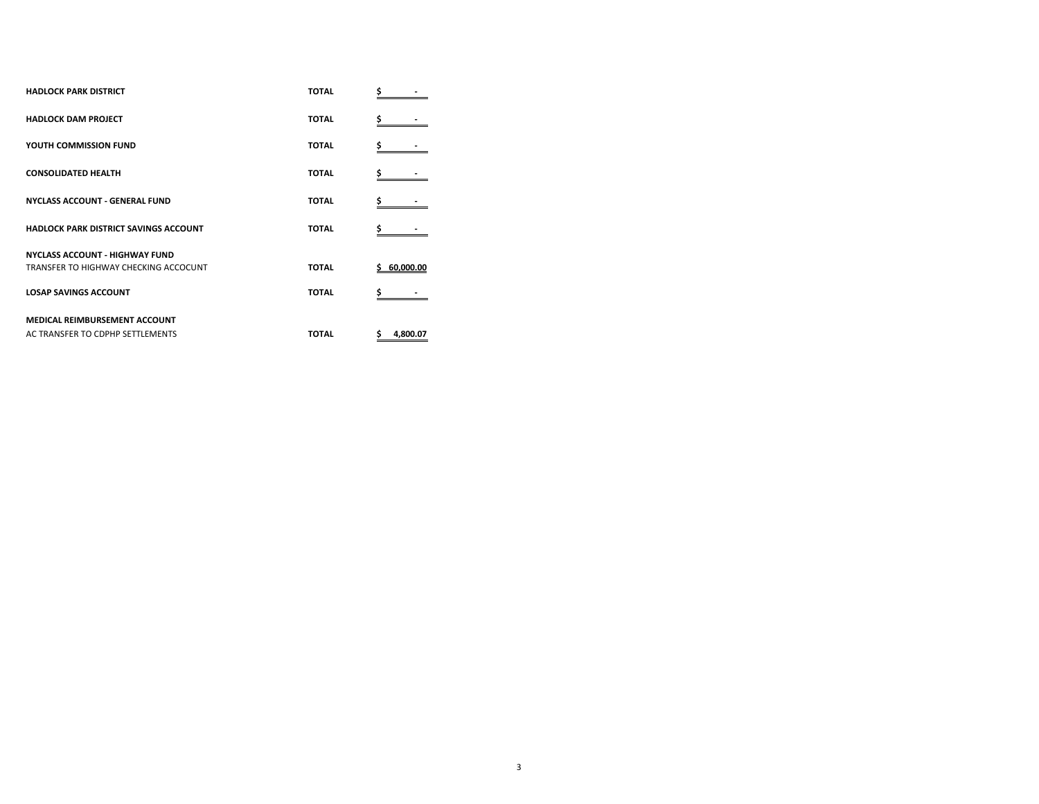| <b>HADLOCK PARK DISTRICT</b>                 | <b>TOTAL</b> | Ś              |
|----------------------------------------------|--------------|----------------|
| <b>HADLOCK DAM PROJECT</b>                   | <b>TOTAL</b> | \$             |
| YOUTH COMMISSION FUND                        | <b>TOTAL</b> | \$             |
| <b>CONSOLIDATED HEALTH</b>                   | <b>TOTAL</b> | \$             |
| <b>NYCLASS ACCOUNT - GENERAL FUND</b>        | <b>TOTAL</b> | \$             |
| <b>HADLOCK PARK DISTRICT SAVINGS ACCOUNT</b> | <b>TOTAL</b> | \$             |
| <b>NYCLASS ACCOUNT - HIGHWAY FUND</b>        |              |                |
| TRANSFER TO HIGHWAY CHECKING ACCOCUNT        | <b>TOTAL</b> | \$60,000.00    |
| <b>LOSAP SAVINGS ACCOUNT</b>                 | <b>TOTAL</b> | \$             |
| <b>MEDICAL REIMBURSEMENT ACCOUNT</b>         |              |                |
| AC TRANSFER TO CDPHP SETTLEMENTS             | <b>TOTAL</b> | \$<br>4,800.07 |